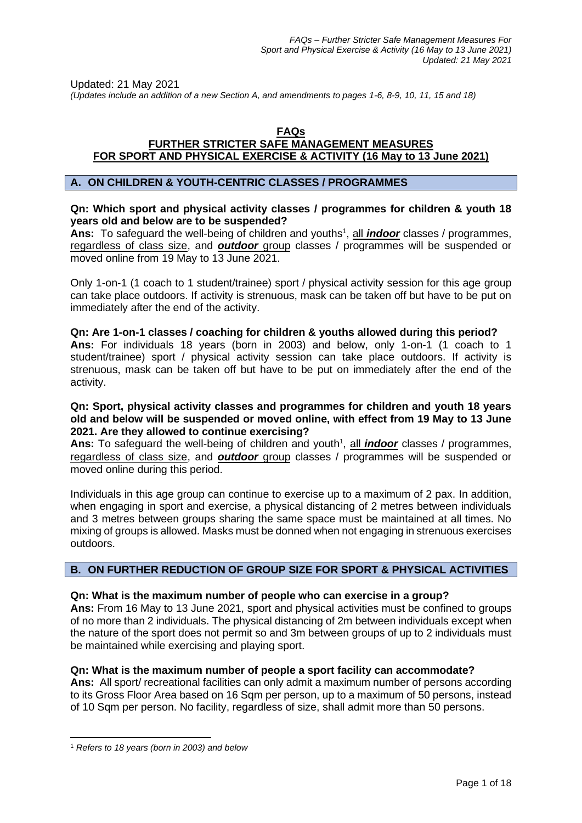Updated: 21 May 2021

*(Updates include an addition of a new Section A, and amendments to pages 1-6, 8-9, 10, 11, 15 and 18)*

## **FAQs FURTHER STRICTER SAFE MANAGEMENT MEASURES FOR SPORT AND PHYSICAL EXERCISE & ACTIVITY (16 May to 13 June 2021)**

# **A. ON CHILDREN & YOUTH-CENTRIC CLASSES / PROGRAMMES**

## **Qn: Which sport and physical activity classes / programmes for children & youth 18 years old and below are to be suspended?**

Ans: To safeguard the well-being of children and youths<sup>1</sup>, all *indoor* classes / programmes, regardless of class size, and *outdoor* group classes / programmes will be suspended or moved online from 19 May to 13 June 2021.

Only 1-on-1 (1 coach to 1 student/trainee) sport / physical activity session for this age group can take place outdoors. If activity is strenuous, mask can be taken off but have to be put on immediately after the end of the activity.

## **Qn: Are 1-on-1 classes / coaching for children & youths allowed during this period? Ans:** For individuals 18 years (born in 2003) and below, only 1-on-1 (1 coach to 1 student/trainee) sport / physical activity session can take place outdoors. If activity is strenuous, mask can be taken off but have to be put on immediately after the end of the activity.

## **Qn: Sport, physical activity classes and programmes for children and youth 18 years old and below will be suspended or moved online, with effect from 19 May to 13 June 2021. Are they allowed to continue exercising?**

Ans: To safeguard the well-being of children and youth<sup>1</sup>, all *indoor* classes / programmes, regardless of class size, and *outdoor* group classes / programmes will be suspended or moved online during this period.

Individuals in this age group can continue to exercise up to a maximum of 2 pax. In addition, when engaging in sport and exercise, a physical distancing of 2 metres between individuals and 3 metres between groups sharing the same space must be maintained at all times. No mixing of groups is allowed. Masks must be donned when not engaging in strenuous exercises outdoors.

# **B. ON FURTHER REDUCTION OF GROUP SIZE FOR SPORT & PHYSICAL ACTIVITIES**

# **Qn: What is the maximum number of people who can exercise in a group?**

**Ans:** From 16 May to 13 June 2021, sport and physical activities must be confined to groups of no more than 2 individuals. The physical distancing of 2m between individuals except when the nature of the sport does not permit so and 3m between groups of up to 2 individuals must be maintained while exercising and playing sport.

# **Qn: What is the maximum number of people a sport facility can accommodate?**

**Ans:** All sport/ recreational facilities can only admit a maximum number of persons according to its Gross Floor Area based on 16 Sqm per person, up to a maximum of 50 persons, instead of 10 Sqm per person. No facility, regardless of size, shall admit more than 50 persons.

<sup>1</sup> *Refers to 18 years (born in 2003) and below*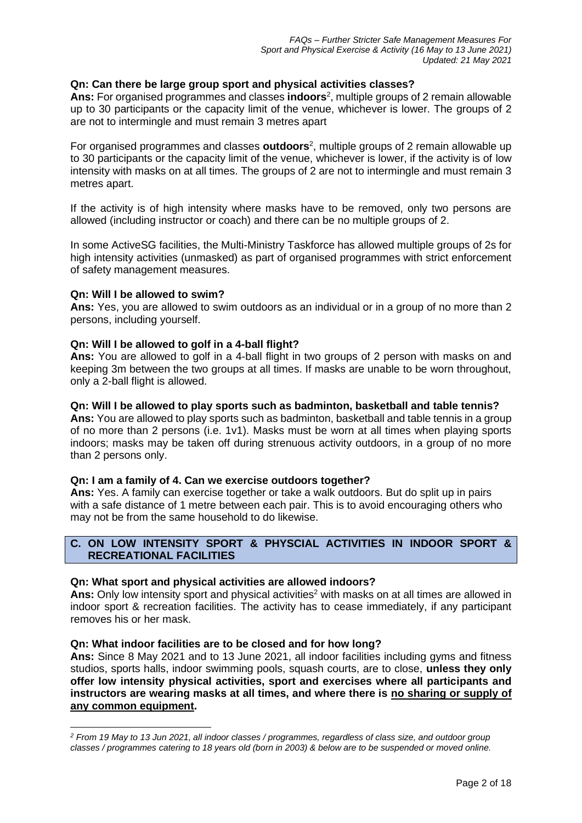## **Qn: Can there be large group sport and physical activities classes?**

**Ans:** For organised programmes and classes **indoors**<sup>2</sup> , multiple groups of 2 remain allowable up to 30 participants or the capacity limit of the venue, whichever is lower. The groups of 2 are not to intermingle and must remain 3 metres apart

For organised programmes and classes **outdoors**<sup>2</sup> , multiple groups of 2 remain allowable up to 30 participants or the capacity limit of the venue, whichever is lower, if the activity is of low intensity with masks on at all times. The groups of 2 are not to intermingle and must remain 3 metres apart.

If the activity is of high intensity where masks have to be removed, only two persons are allowed (including instructor or coach) and there can be no multiple groups of 2.

In some ActiveSG facilities, the Multi-Ministry Taskforce has allowed multiple groups of 2s for high intensity activities (unmasked) as part of organised programmes with strict enforcement of safety management measures.

## **Qn: Will I be allowed to swim?**

**Ans:** Yes, you are allowed to swim outdoors as an individual or in a group of no more than 2 persons, including yourself.

## **Qn: Will I be allowed to golf in a 4-ball flight?**

**Ans:** You are allowed to golf in a 4-ball flight in two groups of 2 person with masks on and keeping 3m between the two groups at all times. If masks are unable to be worn throughout, only a 2-ball flight is allowed.

### **Qn: Will I be allowed to play sports such as badminton, basketball and table tennis?**

**Ans:** You are allowed to play sports such as badminton, basketball and table tennis in a group of no more than 2 persons (i.e. 1v1). Masks must be worn at all times when playing sports indoors; masks may be taken off during strenuous activity outdoors, in a group of no more than 2 persons only.

#### **Qn: I am a family of 4. Can we exercise outdoors together?**

**Ans:** Yes. A family can exercise together or take a walk outdoors. But do split up in pairs with a safe distance of 1 metre between each pair. This is to avoid encouraging others who may not be from the same household to do likewise.

# **C. ON LOW INTENSITY SPORT & PHYSCIAL ACTIVITIES IN INDOOR SPORT & RECREATIONAL FACILITIES**

## **Qn: What sport and physical activities are allowed indoors?**

**Ans:** Only low intensity sport and physical activities<sup>2</sup> with masks on at all times are allowed in indoor sport & recreation facilities. The activity has to cease immediately, if any participant removes his or her mask.

## **Qn: What indoor facilities are to be closed and for how long?**

**Ans:** Since 8 May 2021 and to 13 June 2021, all indoor facilities including gyms and fitness studios, sports halls, indoor swimming pools, squash courts, are to close, **unless they only offer low intensity physical activities, sport and exercises where all participants and instructors are wearing masks at all times, and where there is no sharing or supply of any common equipment.** 

*<sup>2</sup> From 19 May to 13 Jun 2021, all indoor classes / programmes, regardless of class size, and outdoor group classes / programmes catering to 18 years old (born in 2003) & below are to be suspended or moved online.*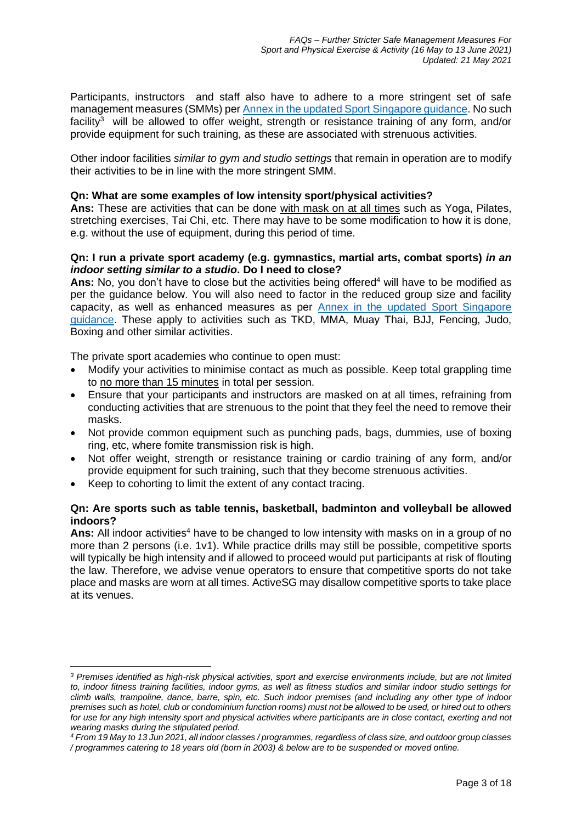Participants, instructors and staff also have to adhere to a more stringent set of safe management measures (SMMs) per [Annex in the updated Sport Singapore guidance.](https://go.gov.sg/furtherstrictersmm16mayto13june2021) No such facility<sup>3</sup> will be allowed to offer weight, strength or resistance training of any form, and/or provide equipment for such training, as these are associated with strenuous activities.

Other indoor facilities *similar to gym and studio settings* that remain in operation are to modify their activities to be in line with the more stringent SMM.

## **Qn: What are some examples of low intensity sport/physical activities?**

**Ans:** These are activities that can be done with mask on at all times such as Yoga, Pilates, stretching exercises, Tai Chi, etc. There may have to be some modification to how it is done, e.g. without the use of equipment, during this period of time.

## **Qn: I run a private sport academy (e.g. gymnastics, martial arts, combat sports)** *in an indoor setting similar to a studio***. Do I need to close?**

**Ans:** No, you don't have to close but the activities being offered<sup>4</sup> will have to be modified as per the guidance below. You will also need to factor in the reduced group size and facility capacity, as well as enhanced measures as per [Annex in the updated Sport Singapore](https://go.gov.sg/furtherstrictersmm16mayto13june2021)  [guidance.](https://go.gov.sg/furtherstrictersmm16mayto13june2021) These apply to activities such as TKD, MMA, Muay Thai, BJJ, Fencing, Judo, Boxing and other similar activities.

The private sport academies who continue to open must:

- Modify your activities to minimise contact as much as possible. Keep total grappling time to no more than 15 minutes in total per session.
- Ensure that your participants and instructors are masked on at all times, refraining from conducting activities that are strenuous to the point that they feel the need to remove their masks.
- Not provide common equipment such as punching pads, bags, dummies, use of boxing ring, etc, where fomite transmission risk is high.
- Not offer weight, strength or resistance training or cardio training of any form, and/or provide equipment for such training, such that they become strenuous activities.
- Keep to cohorting to limit the extent of any contact tracing.

## **Qn: Are sports such as table tennis, basketball, badminton and volleyball be allowed indoors?**

Ans: All indoor activities<sup>4</sup> have to be changed to low intensity with masks on in a group of no more than 2 persons (i.e. 1v1). While practice drills may still be possible, competitive sports will typically be high intensity and if allowed to proceed would put participants at risk of flouting the law. Therefore, we advise venue operators to ensure that competitive sports do not take place and masks are worn at all times. ActiveSG may disallow competitive sports to take place at its venues.

*<sup>3</sup> Premises identified as high-risk physical activities, sport and exercise environments include, but are not limited to, indoor fitness training facilities, indoor gyms, as well as fitness studios and similar indoor studio settings for climb walls, trampoline, dance, barre, spin, etc. Such indoor premises (and including any other type of indoor premises such as hotel, club or condominium function rooms) must not be allowed to be used, or hired out to others for use for any high intensity sport and physical activities where participants are in close contact, exerting and not wearing masks during the stipulated period.*

*<sup>4</sup> From 19 May to 13 Jun 2021, all indoor classes / programmes, regardless of class size, and outdoor group classes / programmes catering to 18 years old (born in 2003) & below are to be suspended or moved online.*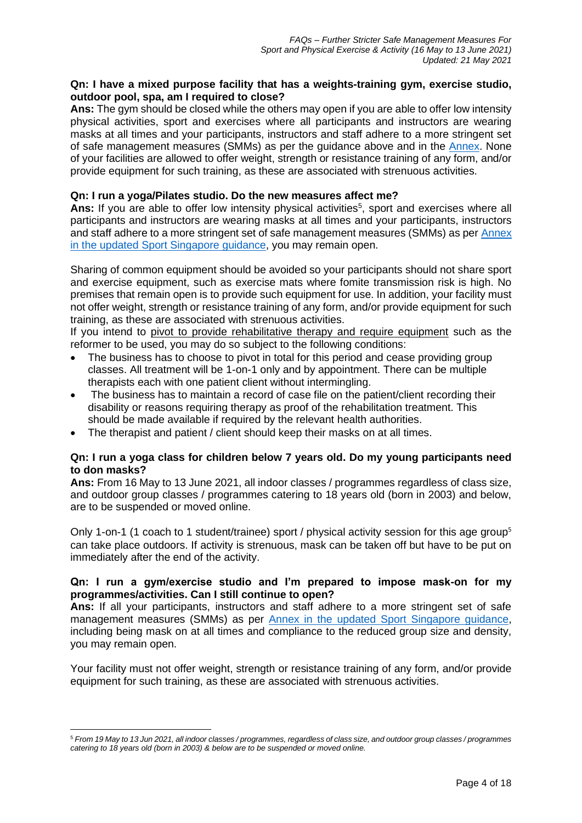# **Qn: I have a mixed purpose facility that has a weights-training gym, exercise studio, outdoor pool, spa, am I required to close?**

**Ans:** The gym should be closed while the others may open if you are able to offer low intensity physical activities, sport and exercises where all participants and instructors are wearing masks at all times and your participants, instructors and staff adhere to a more stringent set of safe management measures (SMMs) as per the guidance above and in the [Annex.](https://go.gov.sg/furtherstrictersmm16mayto13june2021) None of your facilities are allowed to offer weight, strength or resistance training of any form, and/or provide equipment for such training, as these are associated with strenuous activities.

## **Qn: I run a yoga/Pilates studio. Do the new measures affect me?**

Ans: If you are able to offer low intensity physical activities<sup>5</sup>, sport and exercises where all participants and instructors are wearing masks at all times and your participants, instructors and staff adhere to a more stringent set of safe management measures (SMMs) as per [Annex](https://go.gov.sg/furtherstrictersmm16mayto13june2021)  [in the updated Sport Singapore guidance,](https://go.gov.sg/furtherstrictersmm16mayto13june2021) you may remain open.

Sharing of common equipment should be avoided so your participants should not share sport and exercise equipment, such as exercise mats where fomite transmission risk is high. No premises that remain open is to provide such equipment for use. In addition, your facility must not offer weight, strength or resistance training of any form, and/or provide equipment for such training, as these are associated with strenuous activities.

If you intend to pivot to provide rehabilitative therapy and require equipment such as the reformer to be used, you may do so subject to the following conditions:

- The business has to choose to pivot in total for this period and cease providing group classes. All treatment will be 1-on-1 only and by appointment. There can be multiple therapists each with one patient client without intermingling.
- The business has to maintain a record of case file on the patient/client recording their disability or reasons requiring therapy as proof of the rehabilitation treatment. This should be made available if required by the relevant health authorities.
- The therapist and patient / client should keep their masks on at all times.

## **Qn: I run a yoga class for children below 7 years old. Do my young participants need to don masks?**

**Ans:** From 16 May to 13 June 2021, all indoor classes / programmes regardless of class size, and outdoor group classes / programmes catering to 18 years old (born in 2003) and below, are to be suspended or moved online.

Only 1-on-1 (1 coach to 1 student/trainee) sport / physical activity session for this age group<sup>5</sup> can take place outdoors. If activity is strenuous, mask can be taken off but have to be put on immediately after the end of the activity.

## **Qn: I run a gym/exercise studio and I'm prepared to impose mask-on for my programmes/activities. Can I still continue to open?**

**Ans:** If all your participants, instructors and staff adhere to a more stringent set of safe management measures (SMMs) as per [Annex in the updated Sport Singapore guidance,](https://go.gov.sg/furtherstrictersmm16mayto13june2021) including being mask on at all times and compliance to the reduced group size and density, you may remain open.

Your facility must not offer weight, strength or resistance training of any form, and/or provide equipment for such training, as these are associated with strenuous activities.

<sup>5</sup> *From 19 May to 13 Jun 2021, all indoor classes / programmes, regardless of class size, and outdoor group classes / programmes catering to 18 years old (born in 2003) & below are to be suspended or moved online.*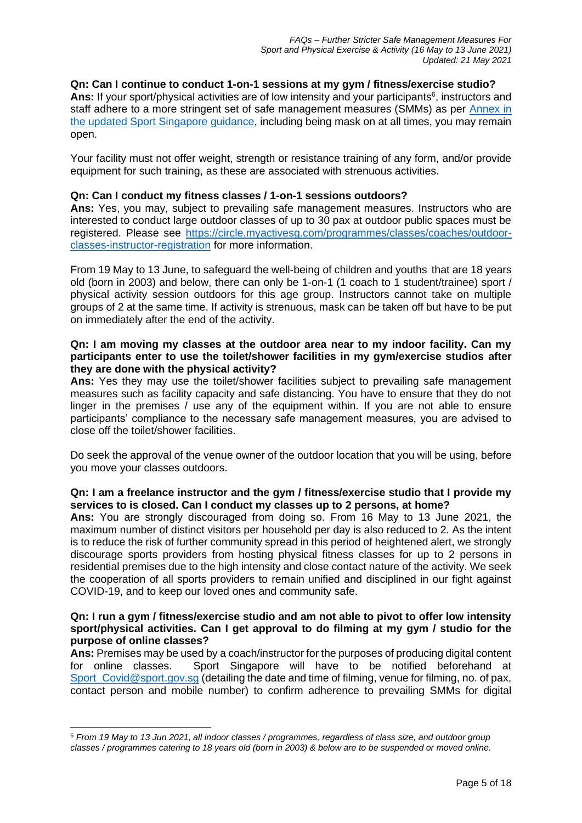## **Qn: Can I continue to conduct 1-on-1 sessions at my gym / fitness/exercise studio?**

Ans: If your sport/physical activities are of low intensity and your participants<sup>6</sup>, instructors and staff adhere to a more stringent set of safe management measures (SMMs) as per [Annex in](https://go.gov.sg/furtherstrictersmm16mayto13june2021)  [the updated Sport Singapore guidance,](https://go.gov.sg/furtherstrictersmm16mayto13june2021) including being mask on at all times, you may remain open.

Your facility must not offer weight, strength or resistance training of any form, and/or provide equipment for such training, as these are associated with strenuous activities.

### **Qn: Can I conduct my fitness classes / 1-on-1 sessions outdoors?**

**Ans:** Yes, you may, subject to prevailing safe management measures. Instructors who are interested to conduct large outdoor classes of up to 30 pax at outdoor public spaces must be registered. Please see [https://circle.myactivesg.com/programmes/classes/coaches/outdoor](https://circle.myactivesg.com/programmes/classes/coaches/outdoor-classes-instructor-registration)[classes-instructor-registration](https://circle.myactivesg.com/programmes/classes/coaches/outdoor-classes-instructor-registration) for more information.

From 19 May to 13 June, to safeguard the well-being of children and youths that are 18 years old (born in 2003) and below, there can only be 1-on-1 (1 coach to 1 student/trainee) sport / physical activity session outdoors for this age group. Instructors cannot take on multiple groups of 2 at the same time. If activity is strenuous, mask can be taken off but have to be put on immediately after the end of the activity.

## **Qn: I am moving my classes at the outdoor area near to my indoor facility. Can my participants enter to use the toilet/shower facilities in my gym/exercise studios after they are done with the physical activity?**

**Ans:** Yes they may use the toilet/shower facilities subject to prevailing safe management measures such as facility capacity and safe distancing. You have to ensure that they do not linger in the premises / use any of the equipment within. If you are not able to ensure participants' compliance to the necessary safe management measures, you are advised to close off the toilet/shower facilities.

Do seek the approval of the venue owner of the outdoor location that you will be using, before you move your classes outdoors.

## **Qn: I am a freelance instructor and the gym / fitness/exercise studio that I provide my services to is closed. Can I conduct my classes up to 2 persons, at home?**

**Ans:** You are strongly discouraged from doing so. From 16 May to 13 June 2021, the maximum number of distinct visitors per household per day is also reduced to 2. As the intent is to reduce the risk of further community spread in this period of heightened alert, we strongly discourage sports providers from hosting physical fitness classes for up to 2 persons in residential premises due to the high intensity and close contact nature of the activity. We seek the cooperation of all sports providers to remain unified and disciplined in our fight against COVID-19, and to keep our loved ones and community safe.

## **Qn: I run a gym / fitness/exercise studio and am not able to pivot to offer low intensity sport/physical activities. Can I get approval to do filming at my gym / studio for the purpose of online classes?**

**Ans:** Premises may be used by a coach/instructor for the purposes of producing digital content for online classes. Sport Singapore will have to be notified beforehand at [Sport\\_Covid@sport.gov.sg](mailto:Sport_Covid@sport.gov.sg) (detailing the date and time of filming, venue for filming, no. of pax, contact person and mobile number) to confirm adherence to prevailing SMMs for digital

<sup>6</sup> *From 19 May to 13 Jun 2021, all indoor classes / programmes, regardless of class size, and outdoor group classes / programmes catering to 18 years old (born in 2003) & below are to be suspended or moved online.*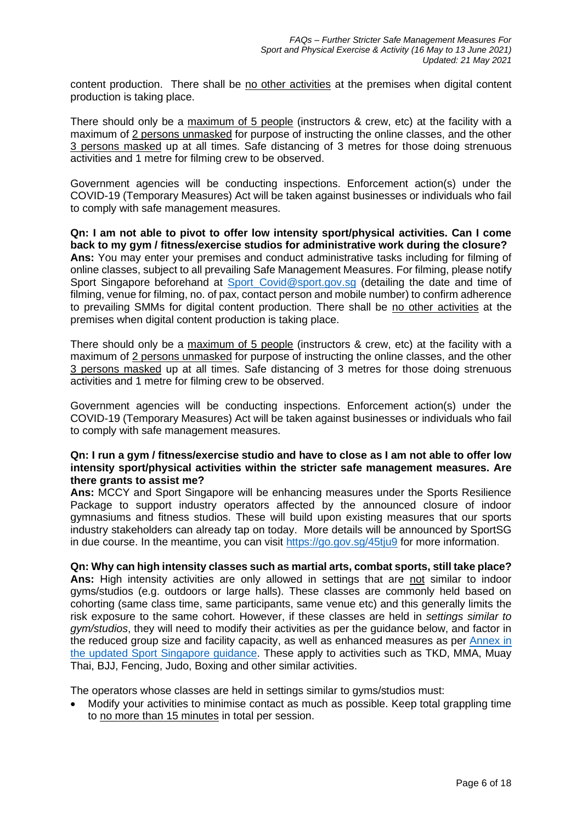content production. There shall be no other activities at the premises when digital content production is taking place.

There should only be a maximum of 5 people (instructors & crew, etc) at the facility with a maximum of 2 persons unmasked for purpose of instructing the online classes, and the other 3 persons masked up at all times. Safe distancing of 3 metres for those doing strenuous activities and 1 metre for filming crew to be observed.

Government agencies will be conducting inspections. Enforcement action(s) under the COVID-19 (Temporary Measures) Act will be taken against businesses or individuals who fail to comply with safe management measures.

**Qn: I am not able to pivot to offer low intensity sport/physical activities. Can I come back to my gym / fitness/exercise studios for administrative work during the closure? Ans:** You may enter your premises and conduct administrative tasks including for filming of online classes, subject to all prevailing Safe Management Measures. For filming, please notify Sport Singapore beforehand at Sport Covid@sport.gov.sg (detailing the date and time of filming, venue for filming, no. of pax, contact person and mobile number) to confirm adherence to prevailing SMMs for digital content production. There shall be no other activities at the premises when digital content production is taking place.

There should only be a maximum of 5 people (instructors & crew, etc) at the facility with a maximum of 2 persons unmasked for purpose of instructing the online classes, and the other 3 persons masked up at all times. Safe distancing of 3 metres for those doing strenuous activities and 1 metre for filming crew to be observed.

Government agencies will be conducting inspections. Enforcement action(s) under the COVID-19 (Temporary Measures) Act will be taken against businesses or individuals who fail to comply with safe management measures.

## **Qn: I run a gym / fitness/exercise studio and have to close as I am not able to offer low intensity sport/physical activities within the stricter safe management measures. Are there grants to assist me?**

**Ans:** MCCY and Sport Singapore will be enhancing measures under the Sports Resilience Package to support industry operators affected by the announced closure of indoor gymnasiums and fitness studios. These will build upon existing measures that our sports industry stakeholders can already tap on today. More details will be announced by SportSG in due course. In the meantime, you can visit<https://go.gov.sg/45tju9> for more information.

## **Qn: Why can high intensity classes such as martial arts, combat sports, still take place? Ans:** High intensity activities are only allowed in settings that are not similar to indoor gyms/studios (e.g. outdoors or large halls). These classes are commonly held based on cohorting (same class time, same participants, same venue etc) and this generally limits the risk exposure to the same cohort. However, if these classes are held in *settings similar to gym/studios*, they will need to modify their activities as per the guidance below, and factor in the reduced group size and facility capacity, as well as enhanced measures as per [Annex in](https://go.gov.sg/furtherstrictersmm16mayto13june2021)  [the updated Sport Singapore guidance.](https://go.gov.sg/furtherstrictersmm16mayto13june2021) These apply to activities such as TKD, MMA, Muay Thai, BJJ, Fencing, Judo, Boxing and other similar activities.

The operators whose classes are held in settings similar to gyms/studios must:

• Modify your activities to minimise contact as much as possible. Keep total grappling time to no more than 15 minutes in total per session.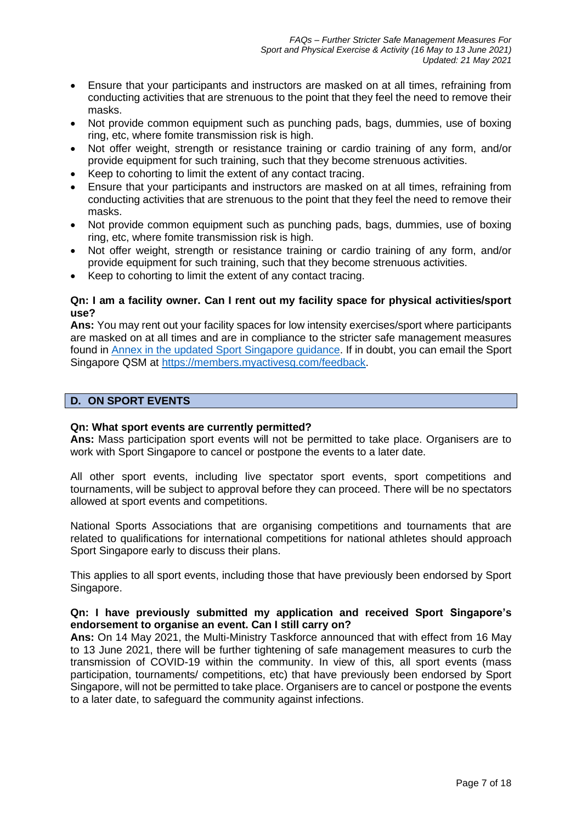- Ensure that your participants and instructors are masked on at all times, refraining from conducting activities that are strenuous to the point that they feel the need to remove their masks.
- Not provide common equipment such as punching pads, bags, dummies, use of boxing ring, etc, where fomite transmission risk is high.
- Not offer weight, strength or resistance training or cardio training of any form, and/or provide equipment for such training, such that they become strenuous activities.
- Keep to cohorting to limit the extent of any contact tracing.
- Ensure that your participants and instructors are masked on at all times, refraining from conducting activities that are strenuous to the point that they feel the need to remove their masks.
- Not provide common equipment such as punching pads, bags, dummies, use of boxing ring, etc, where fomite transmission risk is high.
- Not offer weight, strength or resistance training or cardio training of any form, and/or provide equipment for such training, such that they become strenuous activities.
- Keep to cohorting to limit the extent of any contact tracing.

## **Qn: I am a facility owner. Can I rent out my facility space for physical activities/sport use?**

**Ans:** You may rent out your facility spaces for low intensity exercises/sport where participants are masked on at all times and are in compliance to the stricter safe management measures found in [Annex in the updated Sport Singapore guidance.](https://go.gov.sg/furtherstrictersmm16mayto13june2021) If in doubt, you can email the Sport Singapore QSM at [https://members.myactivesg.com/feedback.](https://members.myactivesg.com/feedback)

# **D. ON SPORT EVENTS**

## **Qn: What sport events are currently permitted?**

**Ans:** Mass participation sport events will not be permitted to take place. Organisers are to work with Sport Singapore to cancel or postpone the events to a later date.

All other sport events, including live spectator sport events, sport competitions and tournaments, will be subject to approval before they can proceed. There will be no spectators allowed at sport events and competitions.

National Sports Associations that are organising competitions and tournaments that are related to qualifications for international competitions for national athletes should approach Sport Singapore early to discuss their plans.

This applies to all sport events, including those that have previously been endorsed by Sport Singapore.

## **Qn: I have previously submitted my application and received Sport Singapore's endorsement to organise an event. Can I still carry on?**

**Ans:** On 14 May 2021, the Multi-Ministry Taskforce announced that with effect from 16 May to 13 June 2021, there will be further tightening of safe management measures to curb the transmission of COVID-19 within the community. In view of this, all sport events (mass participation, tournaments/ competitions, etc) that have previously been endorsed by Sport Singapore, will not be permitted to take place. Organisers are to cancel or postpone the events to a later date, to safeguard the community against infections.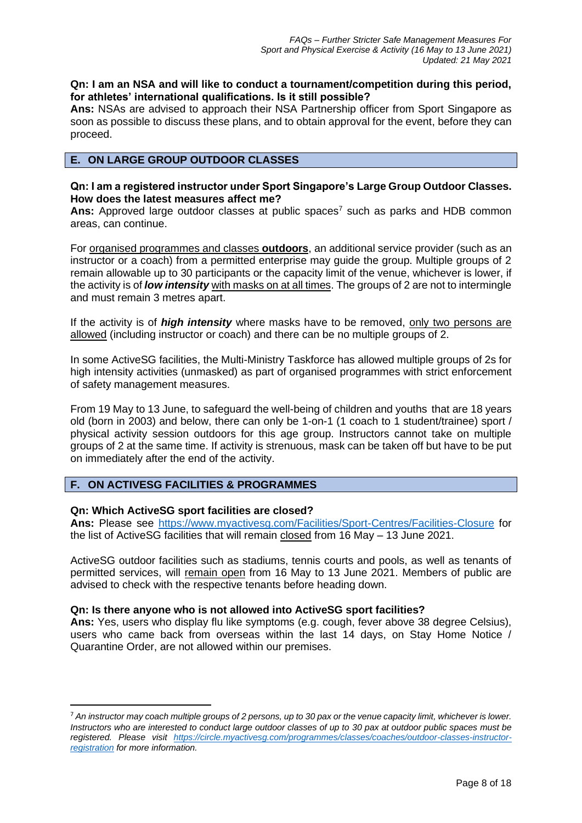## **Qn: I am an NSA and will like to conduct a tournament/competition during this period, for athletes' international qualifications. Is it still possible?**

**Ans:** NSAs are advised to approach their NSA Partnership officer from Sport Singapore as soon as possible to discuss these plans, and to obtain approval for the event, before they can proceed.

# **E. ON LARGE GROUP OUTDOOR CLASSES**

## **Qn: I am a registered instructor under Sport Singapore's Large Group Outdoor Classes. How does the latest measures affect me?**

**Ans:** Approved large outdoor classes at public spaces<sup>7</sup> such as parks and HDB common areas, can continue.

For organised programmes and classes **outdoors**, an additional service provider (such as an instructor or a coach) from a permitted enterprise may guide the group. Multiple groups of 2 remain allowable up to 30 participants or the capacity limit of the venue, whichever is lower, if the activity is of *low intensity* with masks on at all times. The groups of 2 are not to intermingle and must remain 3 metres apart.

If the activity is of *high intensity* where masks have to be removed, only two persons are allowed (including instructor or coach) and there can be no multiple groups of 2.

In some ActiveSG facilities, the Multi-Ministry Taskforce has allowed multiple groups of 2s for high intensity activities (unmasked) as part of organised programmes with strict enforcement of safety management measures.

From 19 May to 13 June, to safeguard the well-being of children and youths that are 18 years old (born in 2003) and below, there can only be 1-on-1 (1 coach to 1 student/trainee) sport / physical activity session outdoors for this age group. Instructors cannot take on multiple groups of 2 at the same time. If activity is strenuous, mask can be taken off but have to be put on immediately after the end of the activity.

# **F. ON ACTIVESG FACILITIES & PROGRAMMES**

## **Qn: Which ActiveSG sport facilities are closed?**

**Ans:** Please see<https://www.myactivesg.com/Facilities/Sport-Centres/Facilities-Closure> for the list of ActiveSG facilities that will remain closed from 16 May – 13 June 2021.

ActiveSG outdoor facilities such as stadiums, tennis courts and pools, as well as tenants of permitted services, will remain open from 16 May to 13 June 2021. Members of public are advised to check with the respective tenants before heading down.

## **Qn: Is there anyone who is not allowed into ActiveSG sport facilities?**

**Ans:** Yes, users who display flu like symptoms (e.g. cough, fever above 38 degree Celsius), users who came back from overseas within the last 14 days, on Stay Home Notice / Quarantine Order, are not allowed within our premises.

<sup>7</sup> *An instructor may coach multiple groups of 2 persons, up to 30 pax or the venue capacity limit, whichever is lower. Instructors who are interested to conduct large outdoor classes of up to 30 pax at outdoor public spaces must be registered. Please visit [https://circle.myactivesg.com/programmes/classes/coaches/outdoor-classes-instructor](https://circle.myactivesg.com/programmes/classes/coaches/outdoor-classes-instructor-registration)[registration](https://circle.myactivesg.com/programmes/classes/coaches/outdoor-classes-instructor-registration) for more information.*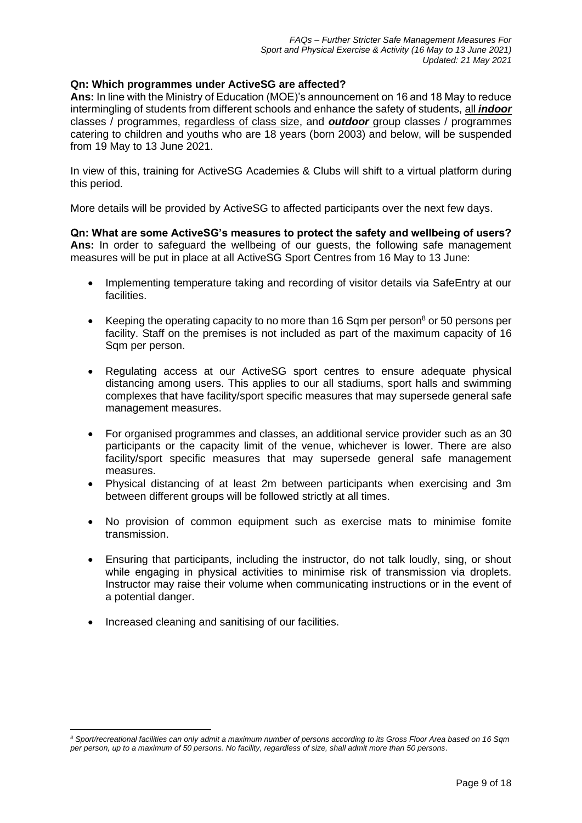## **Qn: Which programmes under ActiveSG are affected?**

**Ans:** In line with the Ministry of Education (MOE)'s announcement on 16 and 18 May to reduce intermingling of students from different schools and enhance the safety of students, all *indoor* classes / programmes, regardless of class size, and *outdoor* group classes / programmes catering to children and youths who are 18 years (born 2003) and below, will be suspended from 19 May to 13 June 2021.

In view of this, training for ActiveSG Academies & Clubs will shift to a virtual platform during this period.

More details will be provided by ActiveSG to affected participants over the next few days.

**Qn: What are some ActiveSG's measures to protect the safety and wellbeing of users? Ans:** In order to safeguard the wellbeing of our guests, the following safe management measures will be put in place at all ActiveSG Sport Centres from 16 May to 13 June:

- Implementing temperature taking and recording of visitor details via SafeEntry at our facilities.
- Keeping the operating capacity to no more than 16 Sqm per person<sup>8</sup> or 50 persons per facility. Staff on the premises is not included as part of the maximum capacity of 16 Sqm per person.
- Regulating access at our ActiveSG sport centres to ensure adequate physical distancing among users. This applies to our all stadiums, sport halls and swimming complexes that have facility/sport specific measures that may supersede general safe management measures.
- For organised programmes and classes, an additional service provider such as an 30 participants or the capacity limit of the venue, whichever is lower. There are also facility/sport specific measures that may supersede general safe management measures.
- Physical distancing of at least 2m between participants when exercising and 3m between different groups will be followed strictly at all times.
- No provision of common equipment such as exercise mats to minimise fomite transmission.
- Ensuring that participants, including the instructor, do not talk loudly, sing, or shout while engaging in physical activities to minimise risk of transmission via droplets. Instructor may raise their volume when communicating instructions or in the event of a potential danger.
- Increased cleaning and sanitising of our facilities.

*<sup>8</sup> Sport/recreational facilities can only admit a maximum number of persons according to its Gross Floor Area based on 16 Sqm per person, up to a maximum of 50 persons. No facility, regardless of size, shall admit more than 50 persons.*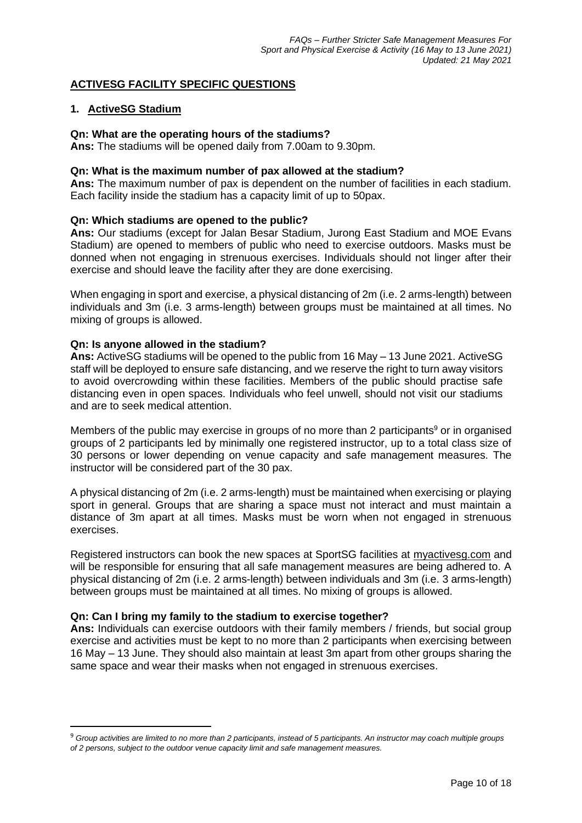# **ACTIVESG FACILITY SPECIFIC QUESTIONS**

## **1. ActiveSG Stadium**

## **Qn: What are the operating hours of the stadiums?**

**Ans:** The stadiums will be opened daily from 7.00am to 9.30pm.

### **Qn: What is the maximum number of pax allowed at the stadium?**

**Ans:** The maximum number of pax is dependent on the number of facilities in each stadium. Each facility inside the stadium has a capacity limit of up to 50pax.

## **Qn: Which stadiums are opened to the public?**

**Ans:** Our stadiums (except for Jalan Besar Stadium, Jurong East Stadium and MOE Evans Stadium) are opened to members of public who need to exercise outdoors. Masks must be donned when not engaging in strenuous exercises. Individuals should not linger after their exercise and should leave the facility after they are done exercising.

When engaging in sport and exercise, a physical distancing of 2m (i.e. 2 arms-length) between individuals and 3m (i.e. 3 arms-length) between groups must be maintained at all times. No mixing of groups is allowed.

## **Qn: Is anyone allowed in the stadium?**

**Ans:** ActiveSG stadiums will be opened to the public from 16 May – 13 June 2021. ActiveSG staff will be deployed to ensure safe distancing, and we reserve the right to turn away visitors to avoid overcrowding within these facilities. Members of the public should practise safe distancing even in open spaces. Individuals who feel unwell, should not visit our stadiums and are to seek medical attention.

Members of the public may exercise in groups of no more than 2 participants<sup>9</sup> or in organised groups of 2 participants led by minimally one registered instructor, up to a total class size of 30 persons or lower depending on venue capacity and safe management measures. The instructor will be considered part of the 30 pax.

A physical distancing of 2m (i.e. 2 arms-length) must be maintained when exercising or playing sport in general. Groups that are sharing a space must not interact and must maintain a distance of 3m apart at all times. Masks must be worn when not engaged in strenuous exercises.

Registered instructors can book the new spaces at SportSG facilities at [myactivesg.com](https://www.myactivesg.com/) and will be responsible for ensuring that all safe management measures are being adhered to. A physical distancing of 2m (i.e. 2 arms-length) between individuals and 3m (i.e. 3 arms-length) between groups must be maintained at all times. No mixing of groups is allowed.

## **Qn: Can I bring my family to the stadium to exercise together?**

**Ans:** Individuals can exercise outdoors with their family members / friends, but social group exercise and activities must be kept to no more than 2 participants when exercising between 16 May – 13 June. They should also maintain at least 3m apart from other groups sharing the same space and wear their masks when not engaged in strenuous exercises.

<sup>9</sup> *Group activities are limited to no more than 2 participants, instead of 5 participants. An instructor may coach multiple groups of 2 persons, subject to the outdoor venue capacity limit and safe management measures.*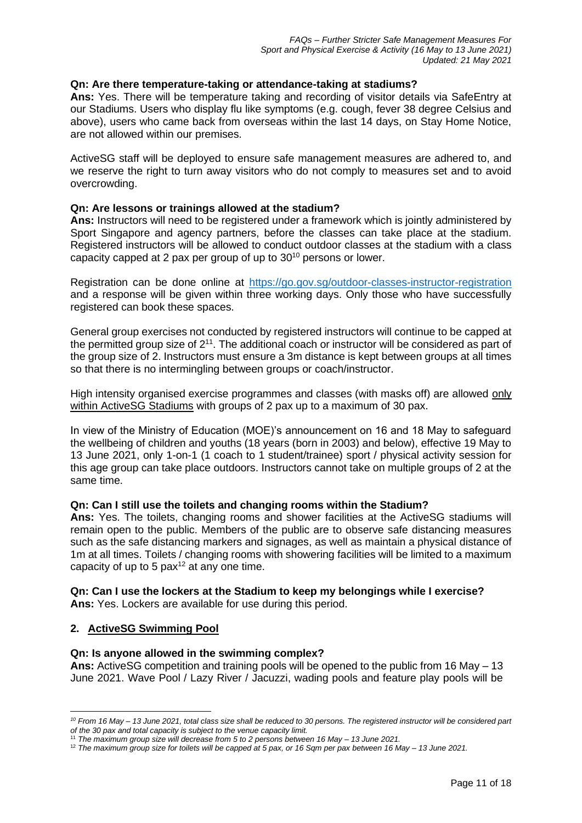## **Qn: Are there temperature-taking or attendance-taking at stadiums?**

**Ans:** Yes. There will be temperature taking and recording of visitor details via SafeEntry at our Stadiums. Users who display flu like symptoms (e.g. cough, fever 38 degree Celsius and above), users who came back from overseas within the last 14 days, on Stay Home Notice, are not allowed within our premises.

ActiveSG staff will be deployed to ensure safe management measures are adhered to, and we reserve the right to turn away visitors who do not comply to measures set and to avoid overcrowding.

## **Qn: Are lessons or trainings allowed at the stadium?**

**Ans:** Instructors will need to be registered under a framework which is jointly administered by Sport Singapore and agency partners, before the classes can take place at the stadium. Registered instructors will be allowed to conduct outdoor classes at the stadium with a class capacity capped at 2 pax per group of up to 30<sup>10</sup> persons or lower.

Registration can be done online at <https://go.gov.sg/outdoor-classes-instructor-registration> and a response will be given within three working days. Only those who have successfully registered can book these spaces.

General group exercises not conducted by registered instructors will continue to be capped at the permitted group size of  $2^{11}$ . The additional coach or instructor will be considered as part of the group size of 2. Instructors must ensure a 3m distance is kept between groups at all times so that there is no intermingling between groups or coach/instructor.

High intensity organised exercise programmes and classes (with masks off) are allowed only within ActiveSG Stadiums with groups of 2 pax up to a maximum of 30 pax.

In view of the Ministry of Education (MOE)'s announcement on 16 and 18 May to safeguard the wellbeing of children and youths (18 years (born in 2003) and below), effective 19 May to 13 June 2021, only 1-on-1 (1 coach to 1 student/trainee) sport / physical activity session for this age group can take place outdoors. Instructors cannot take on multiple groups of 2 at the same time.

## **Qn: Can I still use the toilets and changing rooms within the Stadium?**

**Ans:** Yes. The toilets, changing rooms and shower facilities at the ActiveSG stadiums will remain open to the public. Members of the public are to observe safe distancing measures such as the safe distancing markers and signages, as well as maintain a physical distance of 1m at all times. Toilets / changing rooms with showering facilities will be limited to a maximum capacity of up to 5  $\text{pax}^{12}$  at any one time.

## **Qn: Can I use the lockers at the Stadium to keep my belongings while I exercise? Ans:** Yes. Lockers are available for use during this period.

## **2. ActiveSG Swimming Pool**

## **Qn: Is anyone allowed in the swimming complex?**

**Ans:** ActiveSG competition and training pools will be opened to the public from 16 May – 13 June 2021. Wave Pool / Lazy River / Jacuzzi, wading pools and feature play pools will be

*<sup>10</sup> From 16 May – 13 June 2021, total class size shall be reduced to 30 persons. The registered instructor will be considered part of the 30 pax and total capacity is subject to the venue capacity limit.*

<sup>11</sup> *The maximum group size will decrease from 5 to 2 persons between 16 May – 13 June 2021.*

<sup>12</sup> *The maximum group size for toilets will be capped at 5 pax, or 16 Sqm per pax between 16 May – 13 June 2021.*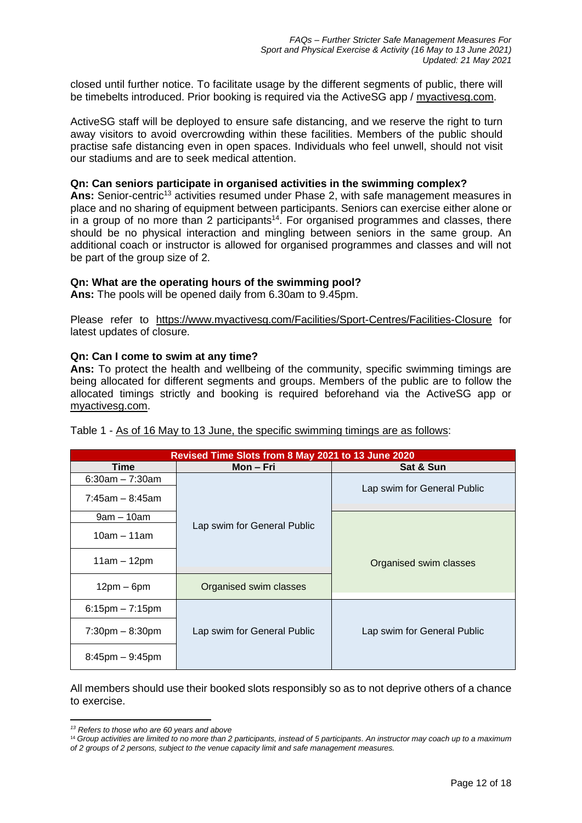closed until further notice. To facilitate usage by the different segments of public, there will be timebelts introduced. Prior booking is required via the ActiveSG app / [myactivesg.com.](https://www.myactivesg.com/)

ActiveSG staff will be deployed to ensure safe distancing, and we reserve the right to turn away visitors to avoid overcrowding within these facilities. Members of the public should practise safe distancing even in open spaces. Individuals who feel unwell, should not visit our stadiums and are to seek medical attention.

#### **Qn: Can seniors participate in organised activities in the swimming complex?**

Ans: Senior-centric<sup>13</sup> activities resumed under Phase 2, with safe management measures in place and no sharing of equipment between participants. Seniors can exercise either alone or in a group of no more than 2 participants<sup>14</sup>. For organised programmes and classes, there should be no physical interaction and mingling between seniors in the same group. An additional coach or instructor is allowed for organised programmes and classes and will not be part of the group size of 2.

#### **Qn: What are the operating hours of the swimming pool?**

**Ans:** The pools will be opened daily from 6.30am to 9.45pm.

Please refer to <https://www.myactivesg.com/Facilities/Sport-Centres/Facilities-Closure> for latest updates of closure.

#### **Qn: Can I come to swim at any time?**

**Ans:** To protect the health and wellbeing of the community, specific swimming timings are being allocated for different segments and groups. Members of the public are to follow the allocated timings strictly and booking is required beforehand via the ActiveSG app or [myactivesg.com.](https://www.myactivesg.com/)

| Revised Time Slots from 8 May 2021 to 13 June 2020 |                             |                             |
|----------------------------------------------------|-----------------------------|-----------------------------|
| Time                                               | Mon – Fri                   | Sat & Sun                   |
| $6:30am - 7:30am$                                  |                             |                             |
| $7:45$ am – 8:45am                                 |                             | Lap swim for General Public |
| $9am - 10am$                                       |                             |                             |
| $10am - 11am$                                      | Lap swim for General Public |                             |
| $11am - 12pm$                                      |                             | Organised swim classes      |
| $12pm - 6pm$                                       | Organised swim classes      |                             |
| $6:15$ pm $-7:15$ pm                               |                             |                             |
| $7:30 \text{pm} - 8:30 \text{pm}$                  | Lap swim for General Public | Lap swim for General Public |
| $8:45$ pm $-9:45$ pm                               |                             |                             |

Table 1 - As of 16 May to 13 June, the specific swimming timings are as follows:

All members should use their booked slots responsibly so as to not deprive others of a chance to exercise.

*<sup>13</sup> Refers to those who are 60 years and above*

<sup>&</sup>lt;sup>14</sup> Group activities are limited to no more than 2 participants, instead of 5 participants. An instructor may coach up to a maximum *of 2 groups of 2 persons, subject to the venue capacity limit and safe management measures.*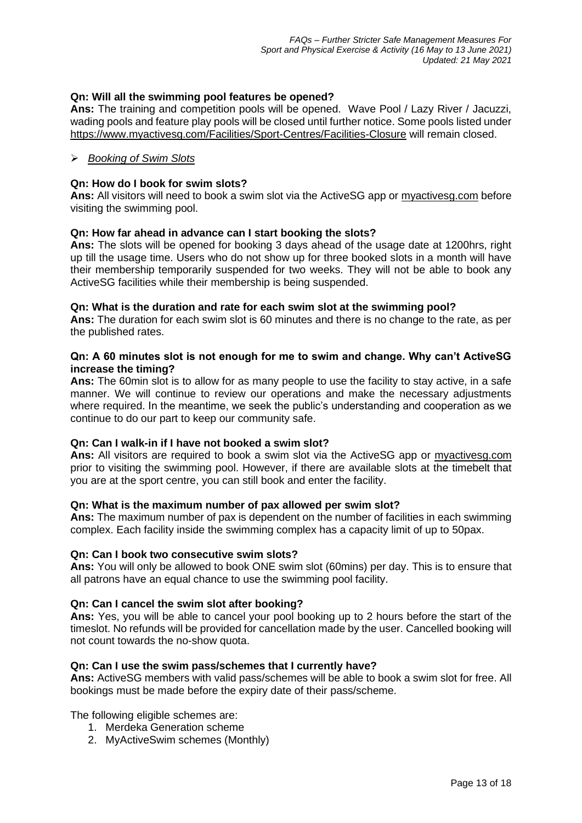# **Qn: Will all the swimming pool features be opened?**

**Ans:** The training and competition pools will be opened. Wave Pool / Lazy River / Jacuzzi, wading pools and feature play pools will be closed until further notice. Some pools listed under <https://www.myactivesg.com/Facilities/Sport-Centres/Facilities-Closure> will remain closed.

## ➢ *Booking of Swim Slots*

## **Qn: How do I book for swim slots?**

**Ans:** All visitors will need to book a swim slot via the ActiveSG app or [myactivesg.com](https://www.myactivesg.com/) before visiting the swimming pool.

## **Qn: How far ahead in advance can I start booking the slots?**

**Ans:** The slots will be opened for booking 3 days ahead of the usage date at 1200hrs, right up till the usage time. Users who do not show up for three booked slots in a month will have their membership temporarily suspended for two weeks. They will not be able to book any ActiveSG facilities while their membership is being suspended.

## **Qn: What is the duration and rate for each swim slot at the swimming pool?**

**Ans:** The duration for each swim slot is 60 minutes and there is no change to the rate, as per the published rates.

### **Qn: A 60 minutes slot is not enough for me to swim and change. Why can't ActiveSG increase the timing?**

**Ans:** The 60min slot is to allow for as many people to use the facility to stay active, in a safe manner. We will continue to review our operations and make the necessary adjustments where required. In the meantime, we seek the public's understanding and cooperation as we continue to do our part to keep our community safe.

## **Qn: Can I walk-in if I have not booked a swim slot?**

**Ans:** All visitors are required to book a swim slot via the ActiveSG app or [myactivesg.com](https://www.myactivesg.com/) prior to visiting the swimming pool. However, if there are available slots at the timebelt that you are at the sport centre, you can still book and enter the facility.

## **Qn: What is the maximum number of pax allowed per swim slot?**

**Ans:** The maximum number of pax is dependent on the number of facilities in each swimming complex. Each facility inside the swimming complex has a capacity limit of up to 50pax.

## **Qn: Can I book two consecutive swim slots?**

**Ans:** You will only be allowed to book ONE swim slot (60mins) per day. This is to ensure that all patrons have an equal chance to use the swimming pool facility.

## **Qn: Can I cancel the swim slot after booking?**

**Ans:** Yes, you will be able to cancel your pool booking up to 2 hours before the start of the timeslot. No refunds will be provided for cancellation made by the user. Cancelled booking will not count towards the no-show quota.

## **Qn: Can I use the swim pass/schemes that I currently have?**

**Ans:** ActiveSG members with valid pass/schemes will be able to book a swim slot for free. All bookings must be made before the expiry date of their pass/scheme.

# The following eligible schemes are:

- 1. Merdeka Generation scheme
- 2. MyActiveSwim schemes (Monthly)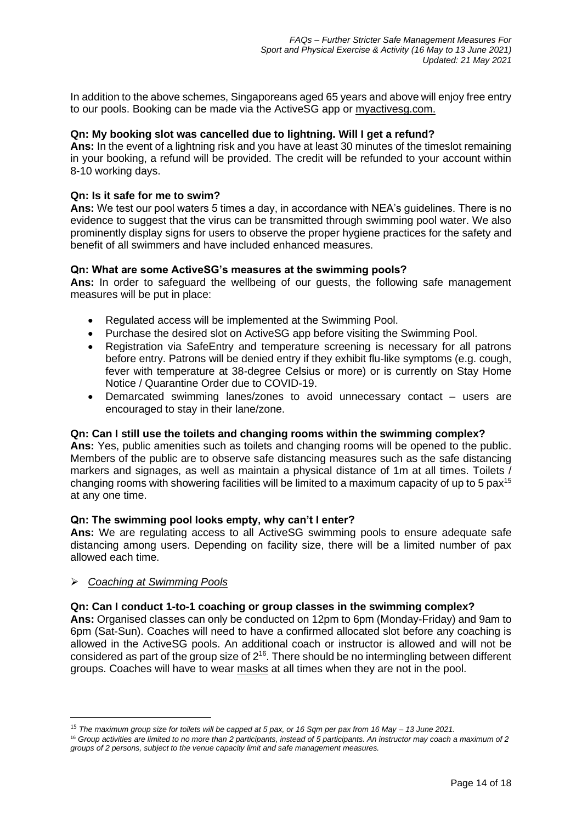In addition to the above schemes, Singaporeans aged 65 years and above will enjoy free entry to our pools. Booking can be made via the ActiveSG app or [myactivesg.com.](https://www.myactivesg.com/)

# **Qn: My booking slot was cancelled due to lightning. Will I get a refund?**

**Ans:** In the event of a lightning risk and you have at least 30 minutes of the timeslot remaining in your booking, a refund will be provided. The credit will be refunded to your account within 8-10 working days.

## **Qn: Is it safe for me to swim?**

**Ans:** We test our pool waters 5 times a day, in accordance with NEA's guidelines. There is no evidence to suggest that the virus can be transmitted through swimming pool water. We also prominently display signs for users to observe the proper hygiene practices for the safety and benefit of all swimmers and have included enhanced measures.

## **Qn: What are some ActiveSG's measures at the swimming pools?**

**Ans:** In order to safeguard the wellbeing of our guests, the following safe management measures will be put in place:

- Regulated access will be implemented at the Swimming Pool.
- Purchase the desired slot on ActiveSG app before visiting the Swimming Pool.
- Registration via SafeEntry and temperature screening is necessary for all patrons before entry. Patrons will be denied entry if they exhibit flu-like symptoms (e.g. cough, fever with temperature at 38-degree Celsius or more) or is currently on Stay Home Notice / Quarantine Order due to COVID-19.
- Demarcated swimming lanes/zones to avoid unnecessary contact users are encouraged to stay in their lane/zone.

## **Qn: Can I still use the toilets and changing rooms within the swimming complex?**

**Ans:** Yes, public amenities such as toilets and changing rooms will be opened to the public. Members of the public are to observe safe distancing measures such as the safe distancing markers and signages, as well as maintain a physical distance of 1m at all times. Toilets / changing rooms with showering facilities will be limited to a maximum capacity of up to 5 pax<sup>15</sup> at any one time.

## **Qn: The swimming pool looks empty, why can't I enter?**

**Ans:** We are regulating access to all ActiveSG swimming pools to ensure adequate safe distancing among users. Depending on facility size, there will be a limited number of pax allowed each time.

➢ *Coaching at Swimming Pools*

# **Qn: Can I conduct 1-to-1 coaching or group classes in the swimming complex?**

**Ans:** Organised classes can only be conducted on 12pm to 6pm (Monday-Friday) and 9am to 6pm (Sat-Sun). Coaches will need to have a confirmed allocated slot before any coaching is allowed in the ActiveSG pools. An additional coach or instructor is allowed and will not be considered as part of the group size of  $2^{16}$ . There should be no intermingling between different groups. Coaches will have to wear masks at all times when they are not in the pool.

<sup>15</sup> *The maximum group size for toilets will be capped at 5 pax, or 16 Sqm per pax from 16 May – 13 June 2021.*

<sup>16</sup> *Group activities are limited to no more than 2 participants, instead of 5 participants. An instructor may coach a maximum of 2 groups of 2 persons, subject to the venue capacity limit and safe management measures.*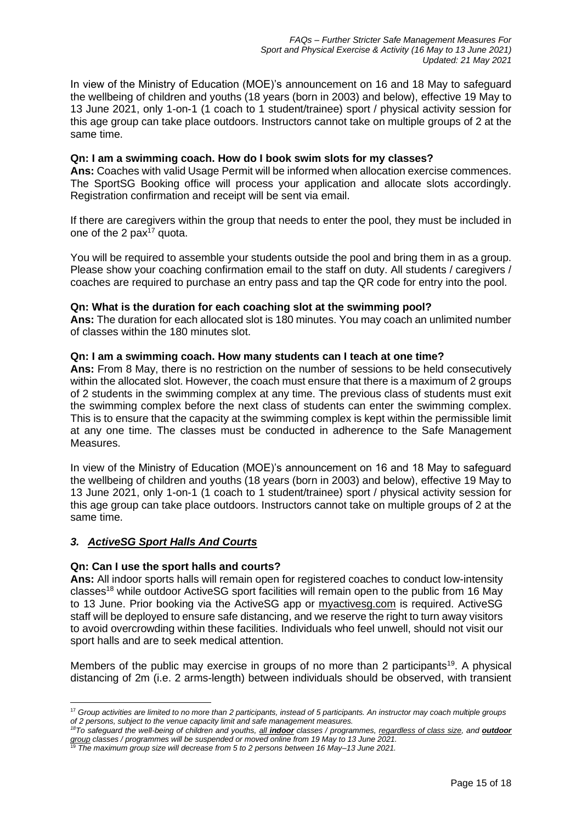In view of the Ministry of Education (MOE)'s announcement on 16 and 18 May to safeguard the wellbeing of children and youths (18 years (born in 2003) and below), effective 19 May to 13 June 2021, only 1-on-1 (1 coach to 1 student/trainee) sport / physical activity session for this age group can take place outdoors. Instructors cannot take on multiple groups of 2 at the same time.

## **Qn: I am a swimming coach. How do I book swim slots for my classes?**

**Ans:** Coaches with valid Usage Permit will be informed when allocation exercise commences. The SportSG Booking office will process your application and allocate slots accordingly. Registration confirmation and receipt will be sent via email.

If there are caregivers within the group that needs to enter the pool, they must be included in one of the 2  $\text{pax}^{17}$  quota.

You will be required to assemble your students outside the pool and bring them in as a group. Please show your coaching confirmation email to the staff on duty. All students / caregivers / coaches are required to purchase an entry pass and tap the QR code for entry into the pool.

## **Qn: What is the duration for each coaching slot at the swimming pool?**

**Ans:** The duration for each allocated slot is 180 minutes. You may coach an unlimited number of classes within the 180 minutes slot.

## **Qn: I am a swimming coach. How many students can I teach at one time?**

Ans: From 8 May, there is no restriction on the number of sessions to be held consecutively within the allocated slot. However, the coach must ensure that there is a maximum of 2 groups of 2 students in the swimming complex at any time. The previous class of students must exit the swimming complex before the next class of students can enter the swimming complex. This is to ensure that the capacity at the swimming complex is kept within the permissible limit at any one time. The classes must be conducted in adherence to the Safe Management Measures.

In view of the Ministry of Education (MOE)'s announcement on 16 and 18 May to safeguard the wellbeing of children and youths (18 years (born in 2003) and below), effective 19 May to 13 June 2021, only 1-on-1 (1 coach to 1 student/trainee) sport / physical activity session for this age group can take place outdoors. Instructors cannot take on multiple groups of 2 at the same time.

## *3. ActiveSG Sport Halls And Courts*

## **Qn: Can I use the sport halls and courts?**

**Ans:** All indoor sports halls will remain open for registered coaches to conduct low-intensity classes<sup>18</sup> while outdoor ActiveSG sport facilities will remain open to the public from 16 May to 13 June. Prior booking via the ActiveSG app or [myactivesg.com](https://www.myactivesg.com/) is required. ActiveSG staff will be deployed to ensure safe distancing, and we reserve the right to turn away visitors to avoid overcrowding within these facilities. Individuals who feel unwell, should not visit our sport halls and are to seek medical attention.

Members of the public may exercise in groups of no more than 2 participants<sup>19</sup>. A physical distancing of 2m (i.e. 2 arms-length) between individuals should be observed, with transient

<sup>17</sup> *Group activities are limited to no more than 2 participants, instead of 5 participants. An instructor may coach multiple groups of 2 persons, subject to the venue capacity limit and safe management measures.*

*<sup>18</sup>To safeguard the well-being of children and youths, all indoor classes / programmes, regardless of class size, and outdoor group classes / programmes will be suspended or moved online from 19 May to 13 June 2021.*

<sup>19</sup> *The maximum group size will decrease from 5 to 2 persons between 16 May–13 June 2021.*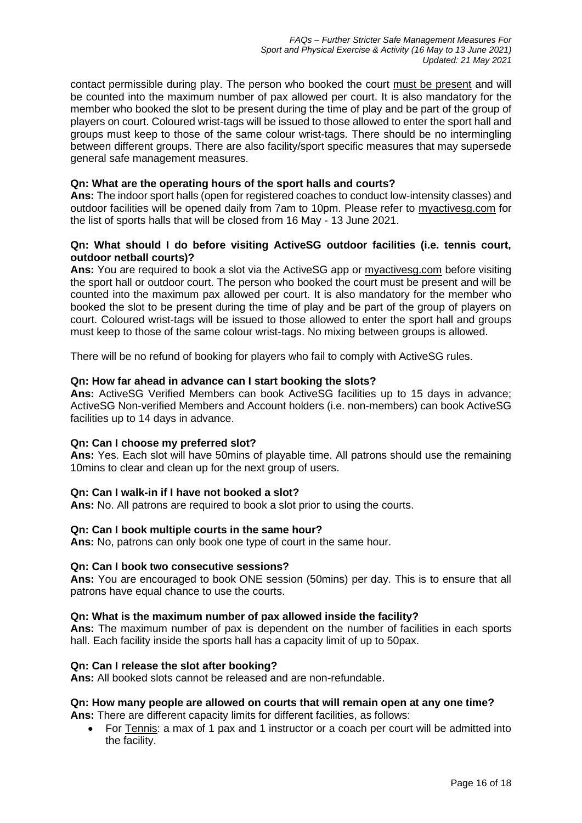contact permissible during play. The person who booked the court must be present and will be counted into the maximum number of pax allowed per court. It is also mandatory for the member who booked the slot to be present during the time of play and be part of the group of players on court. Coloured wrist-tags will be issued to those allowed to enter the sport hall and groups must keep to those of the same colour wrist-tags. There should be no intermingling between different groups. There are also facility/sport specific measures that may supersede general safe management measures.

## **Qn: What are the operating hours of the sport halls and courts?**

**Ans:** The indoor sport halls (open for registered coaches to conduct low-intensity classes) and outdoor facilities will be opened daily from 7am to 10pm. Please refer to [myactivesg.com](https://www.myactivesg.com/) for the list of sports halls that will be closed from 16 May - 13 June 2021.

## **Qn: What should I do before visiting ActiveSG outdoor facilities (i.e. tennis court, outdoor netball courts)?**

**Ans:** You are required to book a slot via the ActiveSG app or [myactivesg.com](https://www.myactivesg.com/) before visiting the sport hall or outdoor court. The person who booked the court must be present and will be counted into the maximum pax allowed per court. It is also mandatory for the member who booked the slot to be present during the time of play and be part of the group of players on court. Coloured wrist-tags will be issued to those allowed to enter the sport hall and groups must keep to those of the same colour wrist-tags. No mixing between groups is allowed.

There will be no refund of booking for players who fail to comply with ActiveSG rules.

## **Qn: How far ahead in advance can I start booking the slots?**

**Ans:** ActiveSG Verified Members can book ActiveSG facilities up to 15 days in advance; ActiveSG Non-verified Members and Account holders (i.e. non-members) can book ActiveSG facilities up to 14 days in advance.

## **Qn: Can I choose my preferred slot?**

**Ans:** Yes. Each slot will have 50mins of playable time. All patrons should use the remaining 10mins to clear and clean up for the next group of users.

## **Qn: Can I walk-in if I have not booked a slot?**

**Ans:** No. All patrons are required to book a slot prior to using the courts.

## **Qn: Can I book multiple courts in the same hour?**

**Ans:** No, patrons can only book one type of court in the same hour.

## **Qn: Can I book two consecutive sessions?**

**Ans:** You are encouraged to book ONE session (50mins) per day. This is to ensure that all patrons have equal chance to use the courts.

## **Qn: What is the maximum number of pax allowed inside the facility?**

**Ans:** The maximum number of pax is dependent on the number of facilities in each sports hall. Each facility inside the sports hall has a capacity limit of up to 50pax.

## **Qn: Can I release the slot after booking?**

**Ans:** All booked slots cannot be released and are non-refundable.

# **Qn: How many people are allowed on courts that will remain open at any one time?**

**Ans:** There are different capacity limits for different facilities, as follows:

• For Tennis: a max of 1 pax and 1 instructor or a coach per court will be admitted into the facility.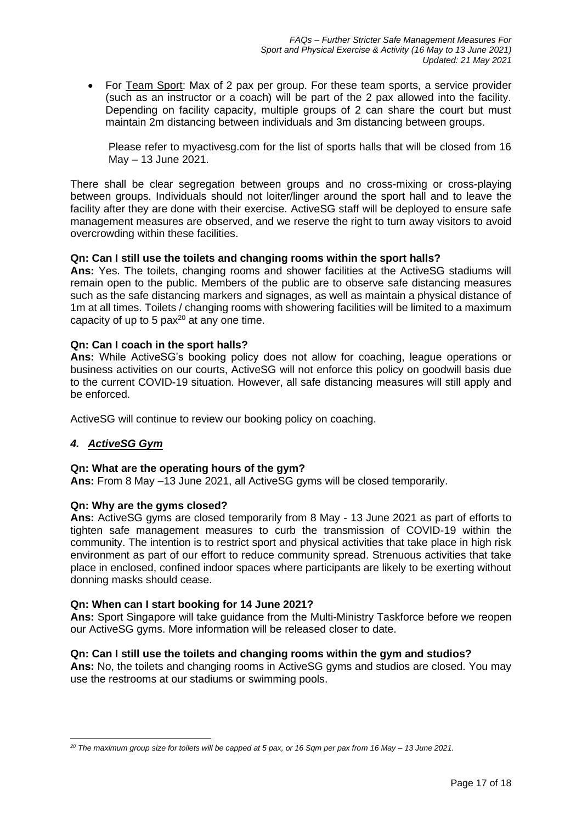• For Team Sport: Max of 2 pax per group. For these team sports, a service provider (such as an instructor or a coach) will be part of the 2 pax allowed into the facility. Depending on facility capacity, multiple groups of 2 can share the court but must maintain 2m distancing between individuals and 3m distancing between groups.

Please refer to myactivesg.com for the list of sports halls that will be closed from 16 May – 13 June 2021.

There shall be clear segregation between groups and no cross-mixing or cross-playing between groups. Individuals should not loiter/linger around the sport hall and to leave the facility after they are done with their exercise. ActiveSG staff will be deployed to ensure safe management measures are observed, and we reserve the right to turn away visitors to avoid overcrowding within these facilities.

## **Qn: Can I still use the toilets and changing rooms within the sport halls?**

**Ans:** Yes. The toilets, changing rooms and shower facilities at the ActiveSG stadiums will remain open to the public. Members of the public are to observe safe distancing measures such as the safe distancing markers and signages, as well as maintain a physical distance of 1m at all times. Toilets / changing rooms with showering facilities will be limited to a maximum capacity of up to 5 pax<sup>20</sup> at any one time.

## **Qn: Can I coach in the sport halls?**

**Ans:** While ActiveSG's booking policy does not allow for coaching, league operations or business activities on our courts, ActiveSG will not enforce this policy on goodwill basis due to the current COVID-19 situation. However, all safe distancing measures will still apply and be enforced.

ActiveSG will continue to review our booking policy on coaching.

# *4. ActiveSG Gym*

## **Qn: What are the operating hours of the gym?**

**Ans:** From 8 May –13 June 2021, all ActiveSG gyms will be closed temporarily.

## **Qn: Why are the gyms closed?**

**Ans:** ActiveSG gyms are closed temporarily from 8 May - 13 June 2021 as part of efforts to tighten safe management measures to curb the transmission of COVID-19 within the community. The intention is to restrict sport and physical activities that take place in high risk environment as part of our effort to reduce community spread. Strenuous activities that take place in enclosed, confined indoor spaces where participants are likely to be exerting without donning masks should cease.

## **Qn: When can I start booking for 14 June 2021?**

**Ans:** Sport Singapore will take guidance from the Multi-Ministry Taskforce before we reopen our ActiveSG gyms. More information will be released closer to date.

## **Qn: Can I still use the toilets and changing rooms within the gym and studios?**

**Ans:** No, the toilets and changing rooms in ActiveSG gyms and studios are closed. You may use the restrooms at our stadiums or swimming pools.

*<sup>20</sup> The maximum group size for toilets will be capped at 5 pax, or 16 Sqm per pax from 16 May – 13 June 2021.*